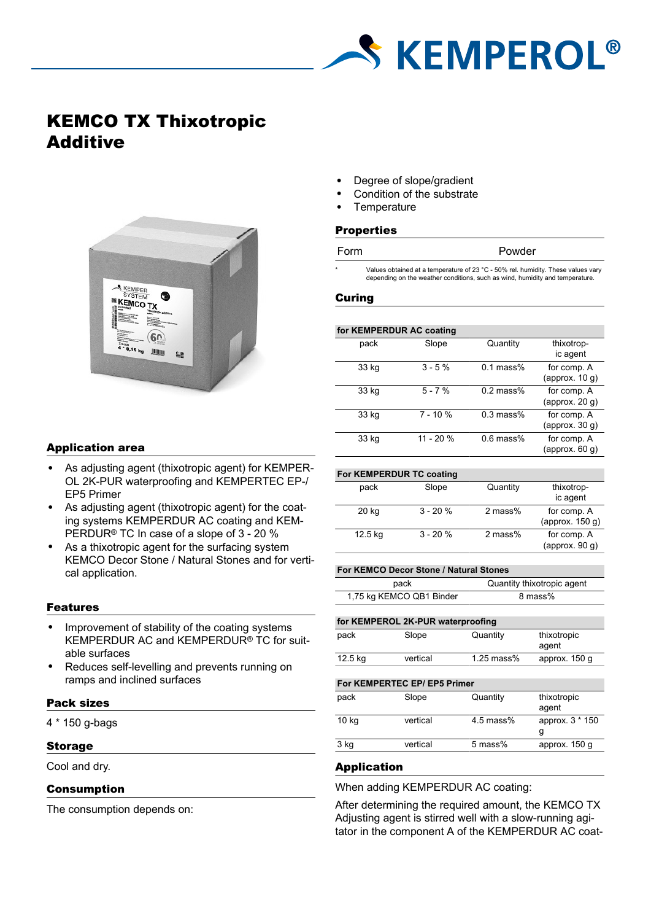

# KEMCO TX Thixotropic Additive



## Application area

- As adjusting agent (thixotropic agent) for KEMPER-OL 2K-PUR waterproofing and KEMPERTEC EP-/ EP5 Primer
- As adjusting agent (thixotropic agent) for the coating systems KEMPERDUR AC coating and KEM-PERDUR® TC In case of a slope of 3 - 20 %
- As a thixotropic agent for the surfacing system KEMCO Decor Stone / Natural Stones and for vertical application.

## Features

- Improvement of stability of the coating systems KEMPERDUR AC and KEMPERDUR® TC for suitable surfaces
- Reduces self-levelling and prevents running on ramps and inclined surfaces

# Pack sizes

4 \* 150 g-bags

### Storage

Cool and dry.

# Consumption

The consumption depends on:

- Degree of slope/gradient
- Condition of the substrate
- **Temperature**

#### **Properties**

| Powder<br>Form |  |
|----------------|--|
|----------------|--|

Values obtained at a temperature of 23 °C - 50% rel. humidity. These values vary depending on the weather conditions, such as wind, humidity and temperature.

#### Curing

#### **for KEMPERDUR AC coating**

| pack  | Slope       | Quantity    | thixotrop-<br>ic agent           |
|-------|-------------|-------------|----------------------------------|
| 33 kg | $3 - 5%$    | $0.1$ mass% | for comp. A<br>(approx. $10 g$ ) |
| 33 kg | $5 - 7%$    | $0.2$ mass% | for comp. A<br>(approx. $20 g$ ) |
| 33 kg | $7 - 10 \%$ | $0.3$ mass% | for comp. A<br>(approx. $30 g$ ) |
| 33 kg | $11 - 20%$  | $0.6$ mass% | for comp. A<br>(approx. $60$ g)  |

| For KEMPERDUR TC coating |           |           |                                   |
|--------------------------|-----------|-----------|-----------------------------------|
| pack                     | Slope     | Quantity  | thixotrop-<br>ic agent            |
| 20 kg                    | $3 - 20%$ | 2 mass%   | for comp. A<br>(approx. $150 g$ ) |
| 12.5 kg                  | $3 - 20%$ | $2$ mass% | for comp. A<br>(approx. $90 g$ )  |

#### **For KEMCO Decor Stone / Natural Stones**

| pack                     | Quantity thixotropic agent |  |
|--------------------------|----------------------------|--|
| 1,75 kg KEMCO QB1 Binder | 8 mass%                    |  |

#### **for KEMPEROL 2K-PUR waterproofing**

| pack    | Slope    | Quantity     | thixotropic<br>agent |
|---------|----------|--------------|----------------------|
| 12.5 kg | vertical | $1.25$ mass% | approx. 150 g        |

#### **For KEMPERTEC EP/ EP5 Primer**

| pack  | Slope    | Quantity    | thixotropic<br>agent |
|-------|----------|-------------|----------------------|
| 10 kg | vertical | $4.5$ mass% | approx. 3 * 150      |
| 3 kg  | vertical | 5 mass%     | approx. 150 g        |

## Application

When adding KEMPERDUR AC coating:

After determining the required amount, the KEMCO TX Adjusting agent is stirred well with a slow-running agitator in the component A of the KEMPERDUR AC coat-